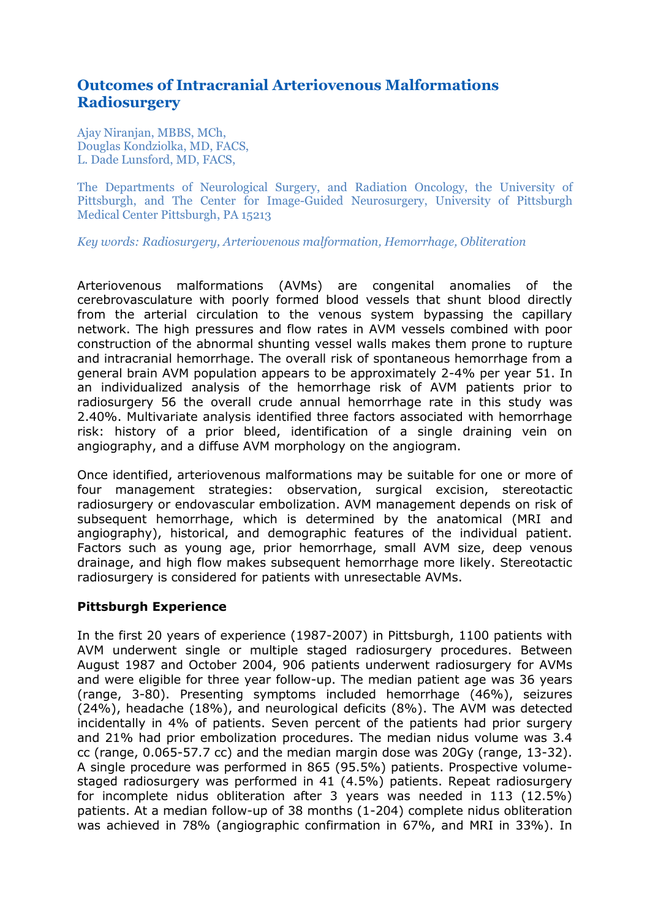# **Outcomes of Intracranial Arteriovenous Malformations Radiosurgery**

Ajay Niranjan, MBBS, MCh, Douglas Kondziolka, MD, FACS, L. Dade Lunsford, MD, FACS,

The Departments of Neurological Surgery, and Radiation Oncology, the University of Pittsburgh, and The Center for Image-Guided Neurosurgery, University of Pittsburgh Medical Center Pittsburgh, PA 15213

*Key words: Radiosurgery, Arteriovenous malformation, Hemorrhage, Obliteration*

Arteriovenous malformations (AVMs) are congenital anomalies of the cerebrovasculature with poorly formed blood vessels that shunt blood directly from the arterial circulation to the venous system bypassing the capillary network. The high pressures and flow rates in AVM vessels combined with poor construction of the abnormal shunting vessel walls makes them prone to rupture and intracranial hemorrhage. The overall risk of spontaneous hemorrhage from a general brain AVM population appears to be approximately 2-4% per year 51. In an individualized analysis of the hemorrhage risk of AVM patients prior to radiosurgery 56 the overall crude annual hemorrhage rate in this study was 2.40%. Multivariate analysis identified three factors associated with hemorrhage risk: history of a prior bleed, identification of a single draining vein on angiography, and a diffuse AVM morphology on the angiogram.

Once identified, arteriovenous malformations may be suitable for one or more of four management strategies: observation, surgical excision, stereotactic radiosurgery or endovascular embolization. AVM management depends on risk of subsequent hemorrhage, which is determined by the anatomical (MRI and angiography), historical, and demographic features of the individual patient. Factors such as young age, prior hemorrhage, small AVM size, deep venous drainage, and high flow makes subsequent hemorrhage more likely. Stereotactic radiosurgery is considered for patients with unresectable AVMs.

### **Pittsburgh Experience**

In the first 20 years of experience (1987-2007) in Pittsburgh, 1100 patients with AVM underwent single or multiple staged radiosurgery procedures. Between August 1987 and October 2004, 906 patients underwent radiosurgery for AVMs and were eligible for three year follow-up. The median patient age was 36 years (range, 3-80). Presenting symptoms included hemorrhage (46%), seizures (24%), headache (18%), and neurological deficits (8%). The AVM was detected incidentally in 4% of patients. Seven percent of the patients had prior surgery and 21% had prior embolization procedures. The median nidus volume was 3.4 cc (range, 0.065-57.7 cc) and the median margin dose was 20Gy (range, 13-32). A single procedure was performed in 865 (95.5%) patients. Prospective volumestaged radiosurgery was performed in 41 (4.5%) patients. Repeat radiosurgery for incomplete nidus obliteration after 3 years was needed in 113 (12.5%) patients. At a median follow-up of 38 months (1-204) complete nidus obliteration was achieved in 78% (angiographic confirmation in 67%, and MRI in 33%). In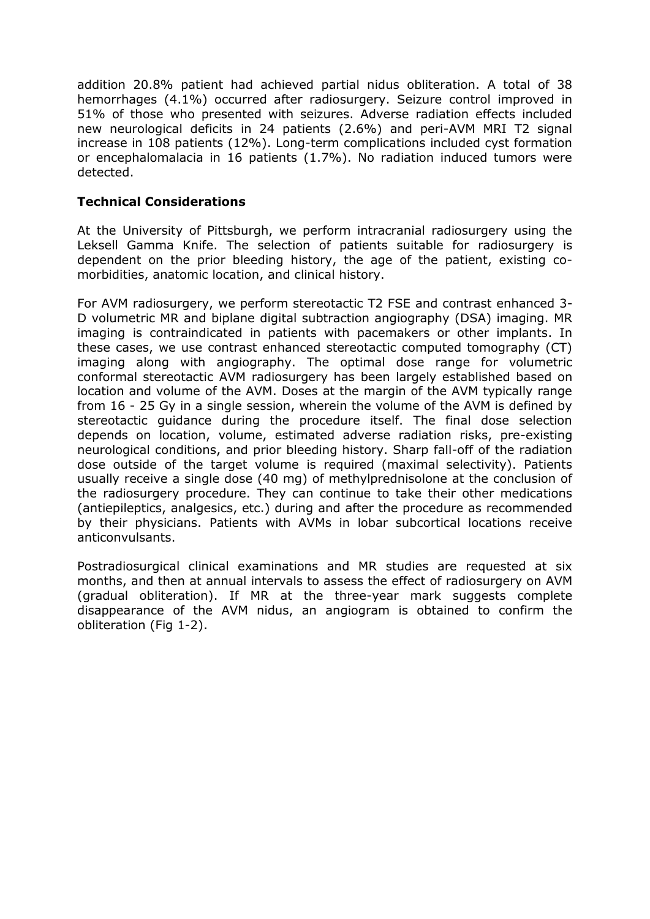addition 20.8% patient had achieved partial nidus obliteration. A total of 38 hemorrhages (4.1%) occurred after radiosurgery. Seizure control improved in 51% of those who presented with seizures. Adverse radiation effects included new neurological deficits in 24 patients (2.6%) and peri-AVM MRI T2 signal increase in 108 patients (12%). Long-term complications included cyst formation or encephalomalacia in 16 patients (1.7%). No radiation induced tumors were detected.

### **Technical Considerations**

At the University of Pittsburgh, we perform intracranial radiosurgery using the Leksell Gamma Knife. The selection of patients suitable for radiosurgery is dependent on the prior bleeding history, the age of the patient, existing comorbidities, anatomic location, and clinical history.

For AVM radiosurgery, we perform stereotactic T2 FSE and contrast enhanced 3- D volumetric MR and biplane digital subtraction angiography (DSA) imaging. MR imaging is contraindicated in patients with pacemakers or other implants. In these cases, we use contrast enhanced stereotactic computed tomography (CT) imaging along with angiography. The optimal dose range for volumetric conformal stereotactic AVM radiosurgery has been largely established based on location and volume of the AVM. Doses at the margin of the AVM typically range from 16 - 25 Gy in a single session, wherein the volume of the AVM is defined by stereotactic guidance during the procedure itself. The final dose selection depends on location, volume, estimated adverse radiation risks, pre-existing neurological conditions, and prior bleeding history. Sharp fall-off of the radiation dose outside of the target volume is required (maximal selectivity). Patients usually receive a single dose (40 mg) of methylprednisolone at the conclusion of the radiosurgery procedure. They can continue to take their other medications (antiepileptics, analgesics, etc.) during and after the procedure as recommended by their physicians. Patients with AVMs in lobar subcortical locations receive anticonvulsants.

Postradiosurgical clinical examinations and MR studies are requested at six months, and then at annual intervals to assess the effect of radiosurgery on AVM (gradual obliteration). If MR at the three-year mark suggests complete disappearance of the AVM nidus, an angiogram is obtained to confirm the obliteration (Fig 1-2).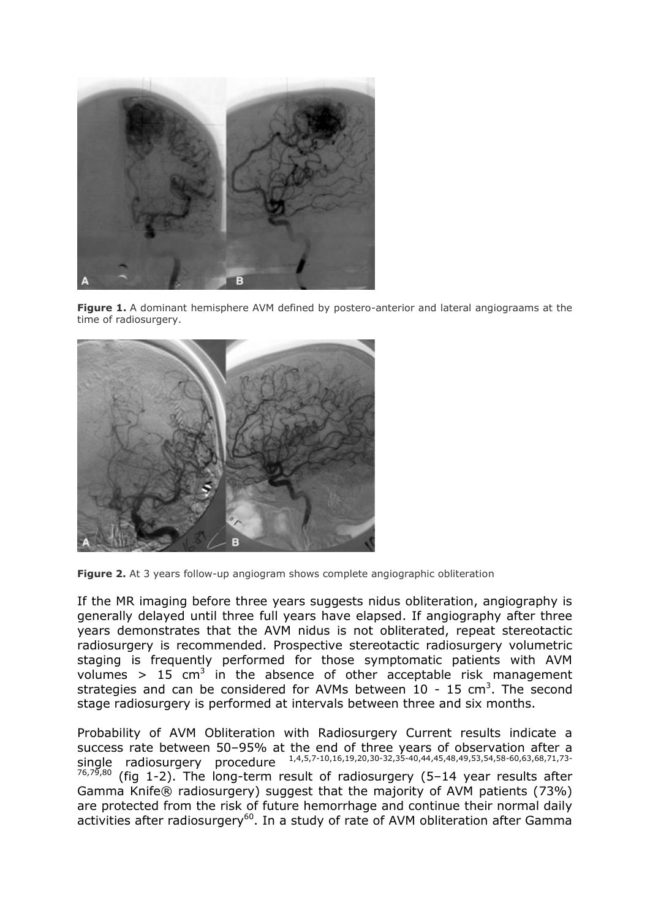

**Figure 1.** A dominant hemisphere AVM defined by postero-anterior and lateral angiograams at the time of radiosurgery.



**Figure 2.** At 3 years follow-up angiogram shows complete angiographic obliteration

If the MR imaging before three years suggests nidus obliteration, angiography is generally delayed until three full years have elapsed. If angiography after three years demonstrates that the AVM nidus is not obliterated, repeat stereotactic radiosurgery is recommended. Prospective stereotactic radiosurgery volumetric staging is frequently performed for those symptomatic patients with AVM volumes  $> 15$  cm<sup>3</sup> in the absence of other acceptable risk management strategies and can be considered for AVMs between  $10 - 15$  cm<sup>3</sup>. The second stage radiosurgery is performed at intervals between three and six months.

Probability of AVM Obliteration with Radiosurgery Current results indicate a success rate between 50–95% at the end of three years of observation after a single radiosurgery procedure <sup>1,4,5,7-10,16,19,20,30-32,35-40,44,45,48,49,53,54,58-60,63,68,71,73-</sup>  $76,75,80$  (fig 1-2). The long-term result of radiosurgery (5-14 year results after Gamma Knife® radiosurgery) suggest that the majority of AVM patients (73%) are protected from the risk of future hemorrhage and continue their normal daily activities after radiosurgery<sup>60</sup>. In a study of rate of AVM obliteration after Gamma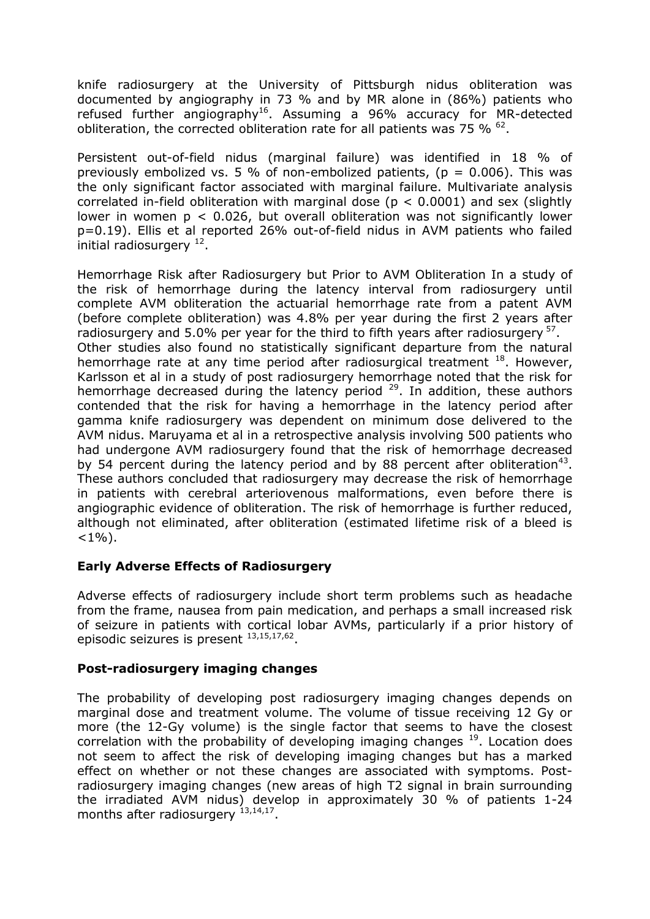knife radiosurgery at the University of Pittsburgh nidus obliteration was documented by angiography in 73 % and by MR alone in (86%) patients who refused further angiography<sup>16</sup>. Assuming a 96% accuracy for MR-detected obliteration, the corrected obliteration rate for all patients was 75 %  $^{62}$ .

Persistent out-of-field nidus (marginal failure) was identified in 18 % of previously embolized vs. 5 % of non-embolized patients, ( $p = 0.006$ ). This was the only significant factor associated with marginal failure. Multivariate analysis correlated in-field obliteration with marginal dose ( $p < 0.0001$ ) and sex (slightly lower in women  $p < 0.026$ , but overall obliteration was not significantly lower p=0.19). Ellis et al reported 26% out-of-field nidus in AVM patients who failed initial radiosurgery <sup>12</sup>.

Hemorrhage Risk after Radiosurgery but Prior to AVM Obliteration In a study of the risk of hemorrhage during the latency interval from radiosurgery until complete AVM obliteration the actuarial hemorrhage rate from a patent AVM (before complete obliteration) was 4.8% per year during the first 2 years after radiosurgery and 5.0% per year for the third to fifth years after radiosurgery  $57$ . Other studies also found no statistically significant departure from the natural hemorrhage rate at any time period after radiosurgical treatment  $18$ . However, Karlsson et al in a study of post radiosurgery hemorrhage noted that the risk for hemorrhage decreased during the latency period <sup>29</sup>. In addition, these authors contended that the risk for having a hemorrhage in the latency period after gamma knife radiosurgery was dependent on minimum dose delivered to the AVM nidus. Maruyama et al in a retrospective analysis involving 500 patients who had undergone AVM radiosurgery found that the risk of hemorrhage decreased by 54 percent during the latency period and by 88 percent after obliteration<sup>43</sup>. These authors concluded that radiosurgery may decrease the risk of hemorrhage in patients with cerebral arteriovenous malformations, even before there is angiographic evidence of obliteration. The risk of hemorrhage is further reduced, although not eliminated, after obliteration (estimated lifetime risk of a bleed is  $<1\%$ ).

## **Early Adverse Effects of Radiosurgery**

Adverse effects of radiosurgery include short term problems such as headache from the frame, nausea from pain medication, and perhaps a small increased risk of seizure in patients with cortical lobar AVMs, particularly if a prior history of episodic seizures is present  $^{13,15,17,62}$ .

### **Post-radiosurgery imaging changes**

The probability of developing post radiosurgery imaging changes depends on marginal dose and treatment volume. The volume of tissue receiving 12 Gy or more (the 12-Gy volume) is the single factor that seems to have the closest correlation with the probability of developing imaging changes <sup>19</sup>. Location does not seem to affect the risk of developing imaging changes but has a marked effect on whether or not these changes are associated with symptoms. Postradiosurgery imaging changes (new areas of high T2 signal in brain surrounding the irradiated AVM nidus) develop in approximately 30 % of patients 1-24 months after radiosurgery  $13,14,17$ .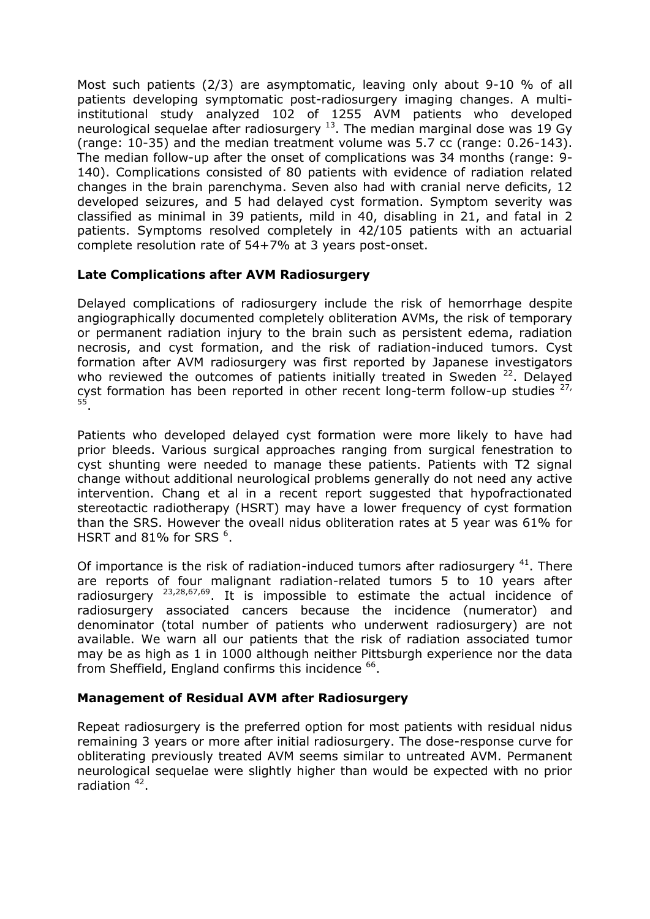Most such patients (2/3) are asymptomatic, leaving only about 9-10 % of all patients developing symptomatic post-radiosurgery imaging changes. A multiinstitutional study analyzed 102 of 1255 AVM patients who developed neurological sequelae after radiosurgery  $13$ . The median marginal dose was 19 Gy (range: 10-35) and the median treatment volume was 5.7 cc (range: 0.26-143). The median follow-up after the onset of complications was 34 months (range: 9- 140). Complications consisted of 80 patients with evidence of radiation related changes in the brain parenchyma. Seven also had with cranial nerve deficits, 12 developed seizures, and 5 had delayed cyst formation. Symptom severity was classified as minimal in 39 patients, mild in 40, disabling in 21, and fatal in 2 patients. Symptoms resolved completely in 42/105 patients with an actuarial complete resolution rate of 54+7% at 3 years post-onset.

### **Late Complications after AVM Radiosurgery**

Delayed complications of radiosurgery include the risk of hemorrhage despite angiographically documented completely obliteration AVMs, the risk of temporary or permanent radiation injury to the brain such as persistent edema, radiation necrosis, and cyst formation, and the risk of radiation-induced tumors. Cyst formation after AVM radiosurgery was first reported by Japanese investigators who reviewed the outcomes of patients initially treated in Sweden  $22$ . Delayed cyst formation has been reported in other recent long-term follow-up studies  $27$ , 55 .

Patients who developed delayed cyst formation were more likely to have had prior bleeds. Various surgical approaches ranging from surgical fenestration to cyst shunting were needed to manage these patients. Patients with T2 signal change without additional neurological problems generally do not need any active intervention. Chang et al in a recent report suggested that hypofractionated stereotactic radiotherapy (HSRT) may have a lower frequency of cyst formation than the SRS. However the oveall nidus obliteration rates at 5 year was 61% for HSRT and 81% for SRS  $6$ .

Of importance is the risk of radiation-induced tumors after radiosurgery  $41$ . There are reports of four malignant radiation-related tumors 5 to 10 years after radiosurgery  $^{23,28,67,69}$ . It is impossible to estimate the actual incidence of radiosurgery associated cancers because the incidence (numerator) and denominator (total number of patients who underwent radiosurgery) are not available. We warn all our patients that the risk of radiation associated tumor may be as high as 1 in 1000 although neither Pittsburgh experience nor the data from Sheffield, England confirms this incidence <sup>66</sup>.

### **Management of Residual AVM after Radiosurgery**

Repeat radiosurgery is the preferred option for most patients with residual nidus remaining 3 years or more after initial radiosurgery. The dose-response curve for obliterating previously treated AVM seems similar to untreated AVM. Permanent neurological sequelae were slightly higher than would be expected with no prior radiation <sup>42</sup>.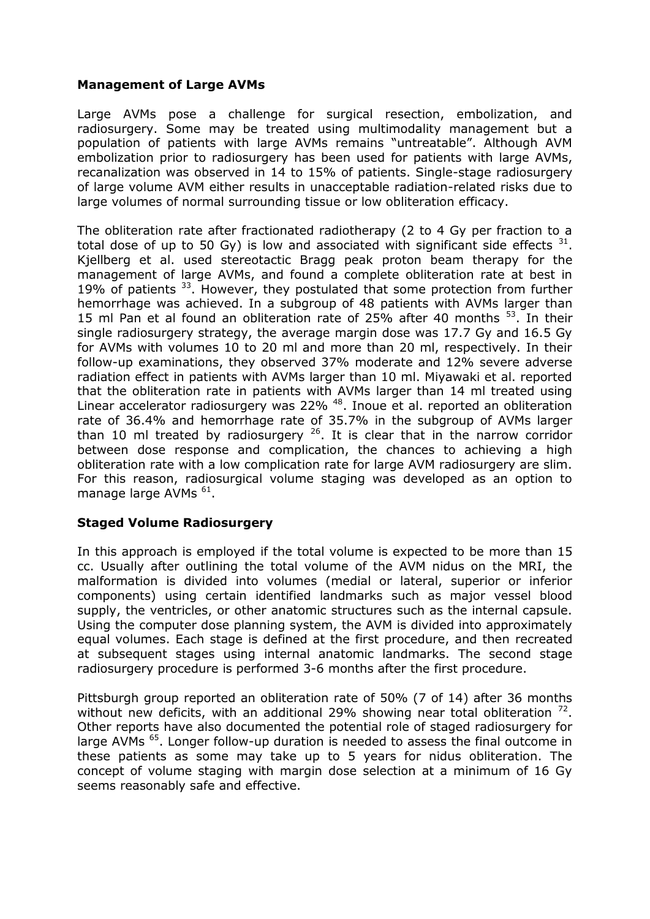#### **Management of Large AVMs**

Large AVMs pose a challenge for surgical resection, embolization, and radiosurgery. Some may be treated using multimodality management but a population of patients with large AVMs remains "untreatable". Although AVM embolization prior to radiosurgery has been used for patients with large AVMs, recanalization was observed in 14 to 15% of patients. Single-stage radiosurgery of large volume AVM either results in unacceptable radiation-related risks due to large volumes of normal surrounding tissue or low obliteration efficacy.

The obliteration rate after fractionated radiotherapy (2 to 4 Gy per fraction to a total dose of up to 50 Gy) is low and associated with significant side effects  $31$ . Kjellberg et al. used stereotactic Bragg peak proton beam therapy for the management of large AVMs, and found a complete obliteration rate at best in 19% of patients  $33$ . However, they postulated that some protection from further hemorrhage was achieved. In a subgroup of 48 patients with AVMs larger than 15 ml Pan et al found an obliteration rate of 25% after 40 months  $53$ . In their single radiosurgery strategy, the average margin dose was 17.7 Gy and 16.5 Gy for AVMs with volumes 10 to 20 ml and more than 20 ml, respectively. In their follow-up examinations, they observed 37% moderate and 12% severe adverse radiation effect in patients with AVMs larger than 10 ml. Miyawaki et al. reported that the obliteration rate in patients with AVMs larger than 14 ml treated using Linear accelerator radiosurgery was 22%<sup>48</sup>. Inoue et al. reported an obliteration rate of 36.4% and hemorrhage rate of 35.7% in the subgroup of AVMs larger than 10 ml treated by radiosurgery  $26$ . It is clear that in the narrow corridor between dose response and complication, the chances to achieving a high obliteration rate with a low complication rate for large AVM radiosurgery are slim. For this reason, radiosurgical volume staging was developed as an option to manage large AVMs <sup>61</sup>.

### **Staged Volume Radiosurgery**

In this approach is employed if the total volume is expected to be more than 15 cc. Usually after outlining the total volume of the AVM nidus on the MRI, the malformation is divided into volumes (medial or lateral, superior or inferior components) using certain identified landmarks such as major vessel blood supply, the ventricles, or other anatomic structures such as the internal capsule. Using the computer dose planning system, the AVM is divided into approximately equal volumes. Each stage is defined at the first procedure, and then recreated at subsequent stages using internal anatomic landmarks. The second stage radiosurgery procedure is performed 3-6 months after the first procedure.

Pittsburgh group reported an obliteration rate of 50% (7 of 14) after 36 months without new deficits, with an additional 29% showing near total obliteration  $^{72}$ . Other reports have also documented the potential role of staged radiosurgery for large AVMs<sup>65</sup>. Longer follow-up duration is needed to assess the final outcome in these patients as some may take up to 5 years for nidus obliteration. The concept of volume staging with margin dose selection at a minimum of 16 Gy seems reasonably safe and effective.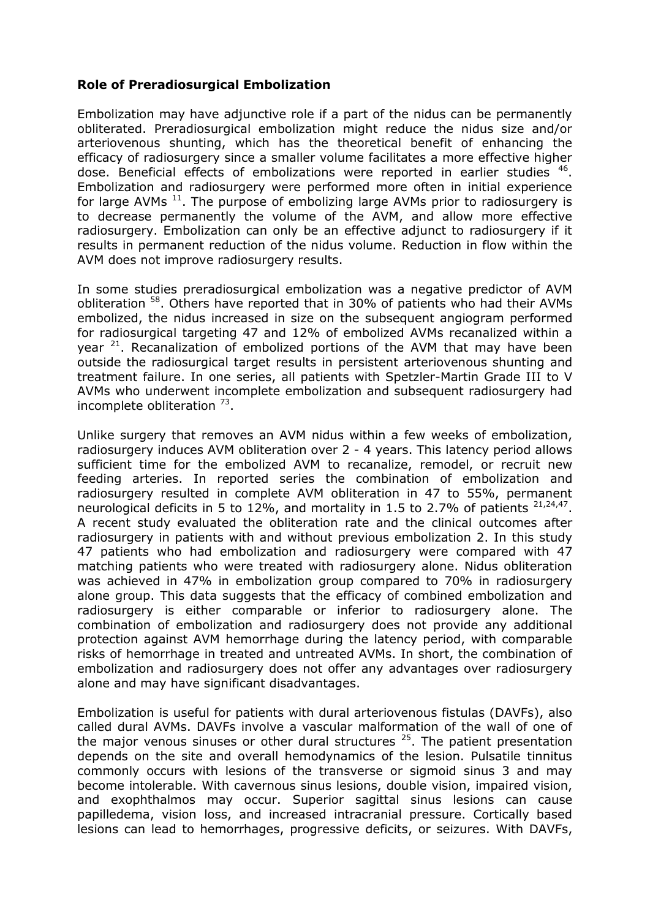### **Role of Preradiosurgical Embolization**

Embolization may have adjunctive role if a part of the nidus can be permanently obliterated. Preradiosurgical embolization might reduce the nidus size and/or arteriovenous shunting, which has the theoretical benefit of enhancing the efficacy of radiosurgery since a smaller volume facilitates a more effective higher dose. Beneficial effects of embolizations were reported in earlier studies <sup>46</sup>. Embolization and radiosurgery were performed more often in initial experience for large AVMs  $11$ . The purpose of embolizing large AVMs prior to radiosurgery is to decrease permanently the volume of the AVM, and allow more effective radiosurgery. Embolization can only be an effective adjunct to radiosurgery if it results in permanent reduction of the nidus volume. Reduction in flow within the AVM does not improve radiosurgery results.

In some studies preradiosurgical embolization was a negative predictor of AVM obliteration <sup>58</sup>. Others have reported that in 30% of patients who had their AVMs embolized, the nidus increased in size on the subsequent angiogram performed for radiosurgical targeting 47 and 12% of embolized AVMs recanalized within a year  $21$ . Recanalization of embolized portions of the AVM that may have been outside the radiosurgical target results in persistent arteriovenous shunting and treatment failure. In one series, all patients with Spetzler-Martin Grade III to V AVMs who underwent incomplete embolization and subsequent radiosurgery had incomplete obliteration  $73$ .

Unlike surgery that removes an AVM nidus within a few weeks of embolization, radiosurgery induces AVM obliteration over 2 - 4 years. This latency period allows sufficient time for the embolized AVM to recanalize, remodel, or recruit new feeding arteries. In reported series the combination of embolization and radiosurgery resulted in complete AVM obliteration in 47 to 55%, permanent neurological deficits in 5 to 12%, and mortality in 1.5 to 2.7% of patients  $21,24,47$ . A recent study evaluated the obliteration rate and the clinical outcomes after radiosurgery in patients with and without previous embolization 2. In this study 47 patients who had embolization and radiosurgery were compared with 47 matching patients who were treated with radiosurgery alone. Nidus obliteration was achieved in 47% in embolization group compared to 70% in radiosurgery alone group. This data suggests that the efficacy of combined embolization and radiosurgery is either comparable or inferior to radiosurgery alone. The combination of embolization and radiosurgery does not provide any additional protection against AVM hemorrhage during the latency period, with comparable risks of hemorrhage in treated and untreated AVMs. In short, the combination of embolization and radiosurgery does not offer any advantages over radiosurgery alone and may have significant disadvantages.

Embolization is useful for patients with dural arteriovenous fistulas (DAVFs), also called dural AVMs. DAVFs involve a vascular malformation of the wall of one of the major venous sinuses or other dural structures  $25$ . The patient presentation depends on the site and overall hemodynamics of the lesion. Pulsatile tinnitus commonly occurs with lesions of the transverse or sigmoid sinus 3 and may become intolerable. With cavernous sinus lesions, double vision, impaired vision, and exophthalmos may occur. Superior sagittal sinus lesions can cause papilledema, vision loss, and increased intracranial pressure. Cortically based lesions can lead to hemorrhages, progressive deficits, or seizures. With DAVFs,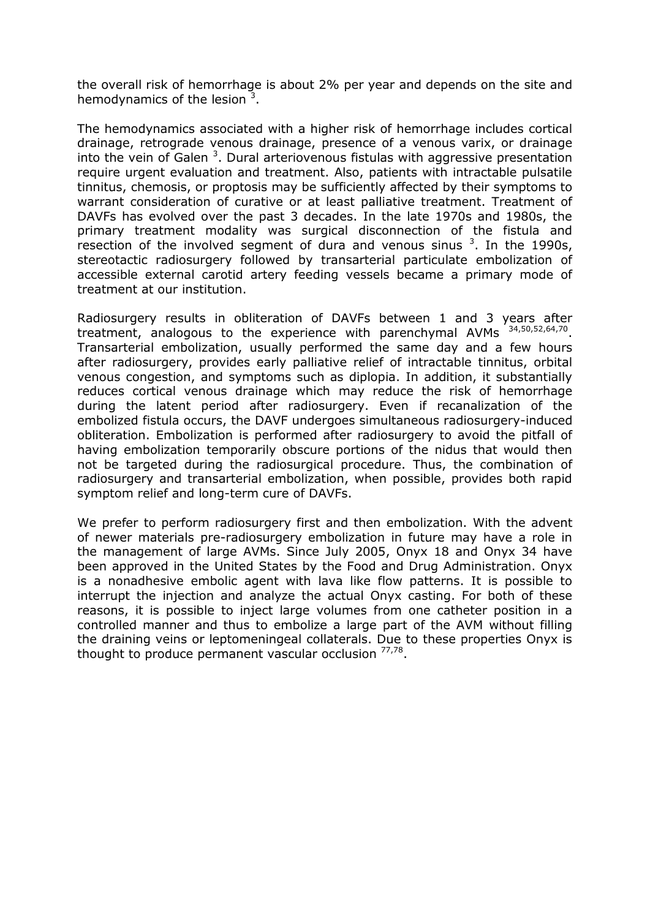the overall risk of hemorrhage is about 2% per year and depends on the site and hemodynamics of the lesion  $3$ .

The hemodynamics associated with a higher risk of hemorrhage includes cortical drainage, retrograde venous drainage, presence of a venous varix, or drainage into the vein of Galen<sup>3</sup>. Dural arteriovenous fistulas with aggressive presentation require urgent evaluation and treatment. Also, patients with intractable pulsatile tinnitus, chemosis, or proptosis may be sufficiently affected by their symptoms to warrant consideration of curative or at least palliative treatment. Treatment of DAVFs has evolved over the past 3 decades. In the late 1970s and 1980s, the primary treatment modality was surgical disconnection of the fistula and resection of the involved segment of dura and venous sinus  $3$ . In the 1990s, stereotactic radiosurgery followed by transarterial particulate embolization of accessible external carotid artery feeding vessels became a primary mode of treatment at our institution.

Radiosurgery results in obliteration of DAVFs between 1 and 3 years after treatment, analogous to the experience with parenchymal AVMs  $34,50,52,64,70$ . Transarterial embolization, usually performed the same day and a few hours after radiosurgery, provides early palliative relief of intractable tinnitus, orbital venous congestion, and symptoms such as diplopia. In addition, it substantially reduces cortical venous drainage which may reduce the risk of hemorrhage during the latent period after radiosurgery. Even if recanalization of the embolized fistula occurs, the DAVF undergoes simultaneous radiosurgery-induced obliteration. Embolization is performed after radiosurgery to avoid the pitfall of having embolization temporarily obscure portions of the nidus that would then not be targeted during the radiosurgical procedure. Thus, the combination of radiosurgery and transarterial embolization, when possible, provides both rapid symptom relief and long-term cure of DAVFs.

We prefer to perform radiosurgery first and then embolization. With the advent of newer materials pre-radiosurgery embolization in future may have a role in the management of large AVMs. Since July 2005, Onyx 18 and Onyx 34 have been approved in the United States by the Food and Drug Administration. Onyx is a nonadhesive embolic agent with lava like flow patterns. It is possible to interrupt the injection and analyze the actual Onyx casting. For both of these reasons, it is possible to inject large volumes from one catheter position in a controlled manner and thus to embolize a large part of the AVM without filling the draining veins or leptomeningeal collaterals. Due to these properties Onyx is thought to produce permanent vascular occlusion  $77,78$ .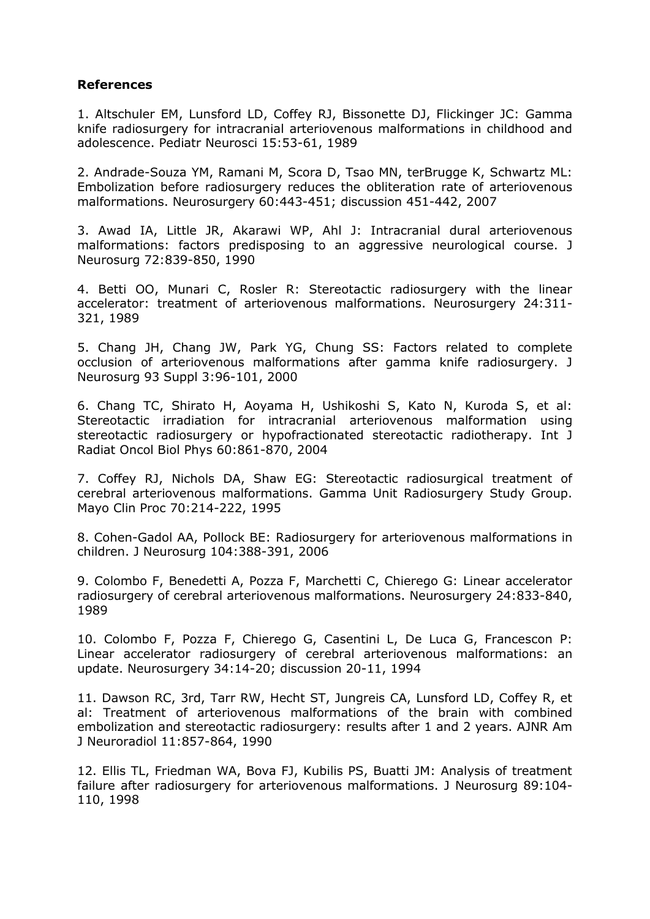### **References**

1. Altschuler EM, Lunsford LD, Coffey RJ, Bissonette DJ, Flickinger JC: Gamma knife radiosurgery for intracranial arteriovenous malformations in childhood and adolescence. Pediatr Neurosci 15:53-61, 1989

2. Andrade-Souza YM, Ramani M, Scora D, Tsao MN, terBrugge K, Schwartz ML: Embolization before radiosurgery reduces the obliteration rate of arteriovenous malformations. Neurosurgery 60:443-451; discussion 451-442, 2007

3. Awad IA, Little JR, Akarawi WP, Ahl J: Intracranial dural arteriovenous malformations: factors predisposing to an aggressive neurological course. J Neurosurg 72:839-850, 1990

4. Betti OO, Munari C, Rosler R: Stereotactic radiosurgery with the linear accelerator: treatment of arteriovenous malformations. Neurosurgery 24:311- 321, 1989

5. Chang JH, Chang JW, Park YG, Chung SS: Factors related to complete occlusion of arteriovenous malformations after gamma knife radiosurgery. J Neurosurg 93 Suppl 3:96-101, 2000

6. Chang TC, Shirato H, Aoyama H, Ushikoshi S, Kato N, Kuroda S, et al: Stereotactic irradiation for intracranial arteriovenous malformation using stereotactic radiosurgery or hypofractionated stereotactic radiotherapy. Int J Radiat Oncol Biol Phys 60:861-870, 2004

7. Coffey RJ, Nichols DA, Shaw EG: Stereotactic radiosurgical treatment of cerebral arteriovenous malformations. Gamma Unit Radiosurgery Study Group. Mayo Clin Proc 70:214-222, 1995

8. Cohen-Gadol AA, Pollock BE: Radiosurgery for arteriovenous malformations in children. J Neurosurg 104:388-391, 2006

9. Colombo F, Benedetti A, Pozza F, Marchetti C, Chierego G: Linear accelerator radiosurgery of cerebral arteriovenous malformations. Neurosurgery 24:833-840, 1989

10. Colombo F, Pozza F, Chierego G, Casentini L, De Luca G, Francescon P: Linear accelerator radiosurgery of cerebral arteriovenous malformations: an update. Neurosurgery 34:14-20; discussion 20-11, 1994

11. Dawson RC, 3rd, Tarr RW, Hecht ST, Jungreis CA, Lunsford LD, Coffey R, et al: Treatment of arteriovenous malformations of the brain with combined embolization and stereotactic radiosurgery: results after 1 and 2 years. AJNR Am J Neuroradiol 11:857-864, 1990

12. Ellis TL, Friedman WA, Bova FJ, Kubilis PS, Buatti JM: Analysis of treatment failure after radiosurgery for arteriovenous malformations. J Neurosurg 89:104- 110, 1998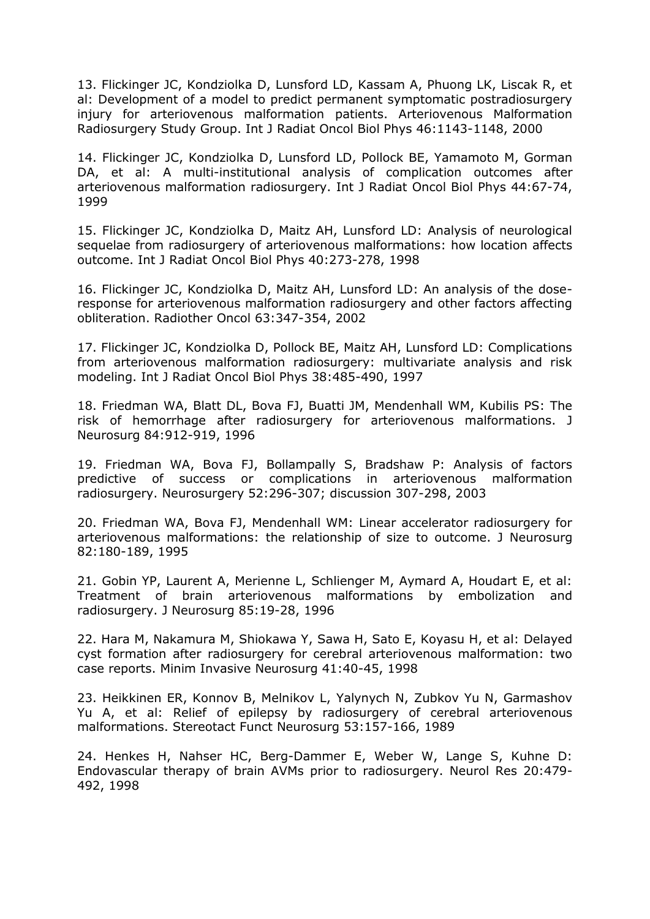13. Flickinger JC, Kondziolka D, Lunsford LD, Kassam A, Phuong LK, Liscak R, et al: Development of a model to predict permanent symptomatic postradiosurgery injury for arteriovenous malformation patients. Arteriovenous Malformation Radiosurgery Study Group. Int J Radiat Oncol Biol Phys 46:1143-1148, 2000

14. Flickinger JC, Kondziolka D, Lunsford LD, Pollock BE, Yamamoto M, Gorman DA, et al: A multi-institutional analysis of complication outcomes after arteriovenous malformation radiosurgery. Int J Radiat Oncol Biol Phys 44:67-74, 1999

15. Flickinger JC, Kondziolka D, Maitz AH, Lunsford LD: Analysis of neurological sequelae from radiosurgery of arteriovenous malformations: how location affects outcome. Int J Radiat Oncol Biol Phys 40:273-278, 1998

16. Flickinger JC, Kondziolka D, Maitz AH, Lunsford LD: An analysis of the doseresponse for arteriovenous malformation radiosurgery and other factors affecting obliteration. Radiother Oncol 63:347-354, 2002

17. Flickinger JC, Kondziolka D, Pollock BE, Maitz AH, Lunsford LD: Complications from arteriovenous malformation radiosurgery: multivariate analysis and risk modeling. Int J Radiat Oncol Biol Phys 38:485-490, 1997

18. Friedman WA, Blatt DL, Bova FJ, Buatti JM, Mendenhall WM, Kubilis PS: The risk of hemorrhage after radiosurgery for arteriovenous malformations. J Neurosurg 84:912-919, 1996

19. Friedman WA, Bova FJ, Bollampally S, Bradshaw P: Analysis of factors predictive of success or complications in arteriovenous malformation radiosurgery. Neurosurgery 52:296-307; discussion 307-298, 2003

20. Friedman WA, Bova FJ, Mendenhall WM: Linear accelerator radiosurgery for arteriovenous malformations: the relationship of size to outcome. J Neurosurg 82:180-189, 1995

21. Gobin YP, Laurent A, Merienne L, Schlienger M, Aymard A, Houdart E, et al: Treatment of brain arteriovenous malformations by embolization and radiosurgery. J Neurosurg 85:19-28, 1996

22. Hara M, Nakamura M, Shiokawa Y, Sawa H, Sato E, Koyasu H, et al: Delayed cyst formation after radiosurgery for cerebral arteriovenous malformation: two case reports. Minim Invasive Neurosurg 41:40-45, 1998

23. Heikkinen ER, Konnov B, Melnikov L, Yalynych N, Zubkov Yu N, Garmashov Yu A, et al: Relief of epilepsy by radiosurgery of cerebral arteriovenous malformations. Stereotact Funct Neurosurg 53:157-166, 1989

24. Henkes H, Nahser HC, Berg-Dammer E, Weber W, Lange S, Kuhne D: Endovascular therapy of brain AVMs prior to radiosurgery. Neurol Res 20:479- 492, 1998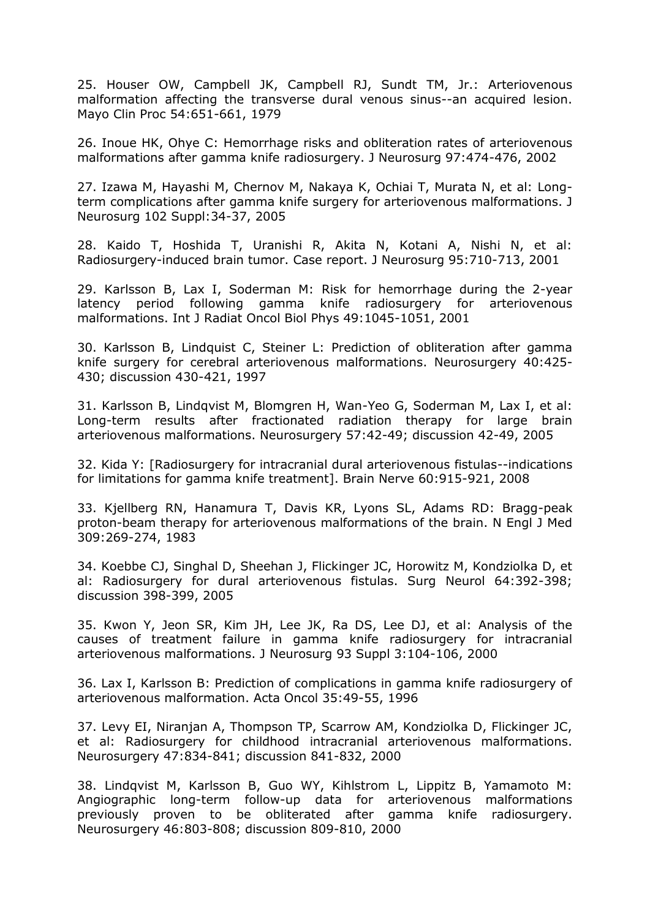25. Houser OW, Campbell JK, Campbell RJ, Sundt TM, Jr.: Arteriovenous malformation affecting the transverse dural venous sinus--an acquired lesion. Mayo Clin Proc 54:651-661, 1979

26. Inoue HK, Ohye C: Hemorrhage risks and obliteration rates of arteriovenous malformations after gamma knife radiosurgery. J Neurosurg 97:474-476, 2002

27. Izawa M, Hayashi M, Chernov M, Nakaya K, Ochiai T, Murata N, et al: Longterm complications after gamma knife surgery for arteriovenous malformations. J Neurosurg 102 Suppl:34-37, 2005

28. Kaido T, Hoshida T, Uranishi R, Akita N, Kotani A, Nishi N, et al: Radiosurgery-induced brain tumor. Case report. J Neurosurg 95:710-713, 2001

29. Karlsson B, Lax I, Soderman M: Risk for hemorrhage during the 2-year latency period following gamma knife radiosurgery for arteriovenous malformations. Int J Radiat Oncol Biol Phys 49:1045-1051, 2001

30. Karlsson B, Lindquist C, Steiner L: Prediction of obliteration after gamma knife surgery for cerebral arteriovenous malformations. Neurosurgery 40:425- 430; discussion 430-421, 1997

31. Karlsson B, Lindqvist M, Blomgren H, Wan-Yeo G, Soderman M, Lax I, et al: Long-term results after fractionated radiation therapy for large brain arteriovenous malformations. Neurosurgery 57:42-49; discussion 42-49, 2005

32. Kida Y: [Radiosurgery for intracranial dural arteriovenous fistulas--indications for limitations for gamma knife treatment]. Brain Nerve 60:915-921, 2008

33. Kjellberg RN, Hanamura T, Davis KR, Lyons SL, Adams RD: Bragg-peak proton-beam therapy for arteriovenous malformations of the brain. N Engl J Med 309:269-274, 1983

34. Koebbe CJ, Singhal D, Sheehan J, Flickinger JC, Horowitz M, Kondziolka D, et al: Radiosurgery for dural arteriovenous fistulas. Surg Neurol 64:392-398; discussion 398-399, 2005

35. Kwon Y, Jeon SR, Kim JH, Lee JK, Ra DS, Lee DJ, et al: Analysis of the causes of treatment failure in gamma knife radiosurgery for intracranial arteriovenous malformations. J Neurosurg 93 Suppl 3:104-106, 2000

36. Lax I, Karlsson B: Prediction of complications in gamma knife radiosurgery of arteriovenous malformation. Acta Oncol 35:49-55, 1996

37. Levy EI, Niranjan A, Thompson TP, Scarrow AM, Kondziolka D, Flickinger JC, et al: Radiosurgery for childhood intracranial arteriovenous malformations. Neurosurgery 47:834-841; discussion 841-832, 2000

38. Lindqvist M, Karlsson B, Guo WY, Kihlstrom L, Lippitz B, Yamamoto M: Angiographic long-term follow-up data for arteriovenous malformations previously proven to be obliterated after gamma knife radiosurgery. Neurosurgery 46:803-808; discussion 809-810, 2000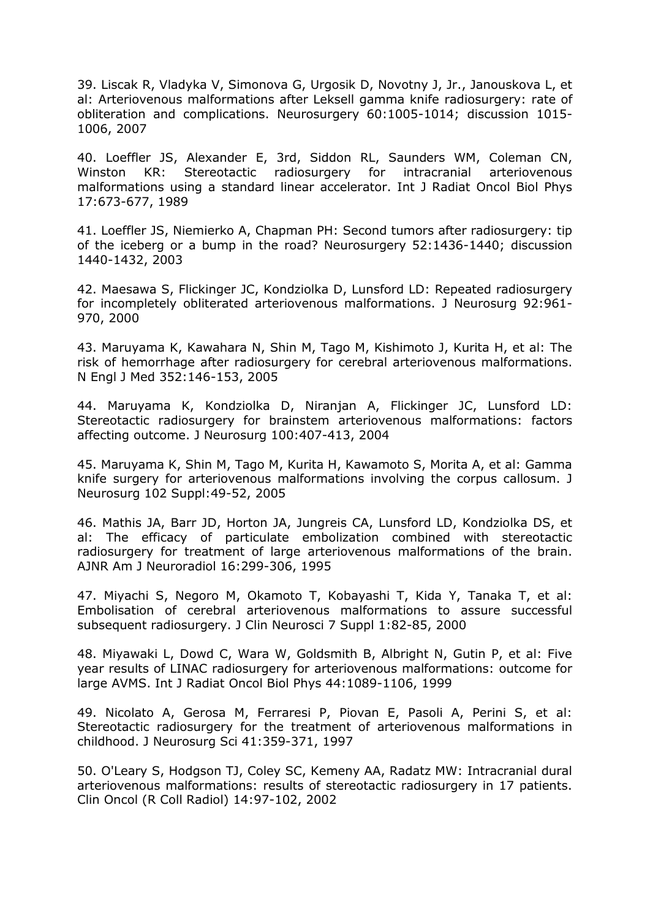39. Liscak R, Vladyka V, Simonova G, Urgosik D, Novotny J, Jr., Janouskova L, et al: Arteriovenous malformations after Leksell gamma knife radiosurgery: rate of obliteration and complications. Neurosurgery 60:1005-1014; discussion 1015- 1006, 2007

40. Loeffler JS, Alexander E, 3rd, Siddon RL, Saunders WM, Coleman CN, Winston KR: Stereotactic radiosurgery for intracranial arteriovenous malformations using a standard linear accelerator. Int J Radiat Oncol Biol Phys 17:673-677, 1989

41. Loeffler JS, Niemierko A, Chapman PH: Second tumors after radiosurgery: tip of the iceberg or a bump in the road? Neurosurgery 52:1436-1440; discussion 1440-1432, 2003

42. Maesawa S, Flickinger JC, Kondziolka D, Lunsford LD: Repeated radiosurgery for incompletely obliterated arteriovenous malformations. J Neurosurg 92:961- 970, 2000

43. Maruyama K, Kawahara N, Shin M, Tago M, Kishimoto J, Kurita H, et al: The risk of hemorrhage after radiosurgery for cerebral arteriovenous malformations. N Engl J Med 352:146-153, 2005

44. Maruyama K, Kondziolka D, Niranjan A, Flickinger JC, Lunsford LD: Stereotactic radiosurgery for brainstem arteriovenous malformations: factors affecting outcome. J Neurosurg 100:407-413, 2004

45. Maruyama K, Shin M, Tago M, Kurita H, Kawamoto S, Morita A, et al: Gamma knife surgery for arteriovenous malformations involving the corpus callosum. J Neurosurg 102 Suppl:49-52, 2005

46. Mathis JA, Barr JD, Horton JA, Jungreis CA, Lunsford LD, Kondziolka DS, et al: The efficacy of particulate embolization combined with stereotactic radiosurgery for treatment of large arteriovenous malformations of the brain. AJNR Am J Neuroradiol 16:299-306, 1995

47. Miyachi S, Negoro M, Okamoto T, Kobayashi T, Kida Y, Tanaka T, et al: Embolisation of cerebral arteriovenous malformations to assure successful subsequent radiosurgery. J Clin Neurosci 7 Suppl 1:82-85, 2000

48. Miyawaki L, Dowd C, Wara W, Goldsmith B, Albright N, Gutin P, et al: Five year results of LINAC radiosurgery for arteriovenous malformations: outcome for large AVMS. Int J Radiat Oncol Biol Phys 44:1089-1106, 1999

49. Nicolato A, Gerosa M, Ferraresi P, Piovan E, Pasoli A, Perini S, et al: Stereotactic radiosurgery for the treatment of arteriovenous malformations in childhood. J Neurosurg Sci 41:359-371, 1997

50. O'Leary S, Hodgson TJ, Coley SC, Kemeny AA, Radatz MW: Intracranial dural arteriovenous malformations: results of stereotactic radiosurgery in 17 patients. Clin Oncol (R Coll Radiol) 14:97-102, 2002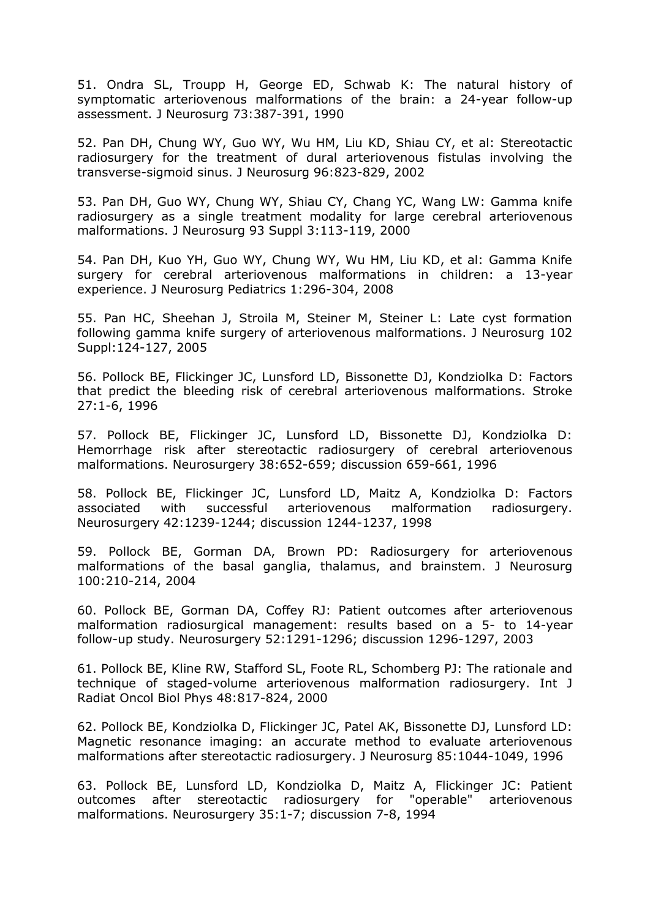51. Ondra SL, Troupp H, George ED, Schwab K: The natural history of symptomatic arteriovenous malformations of the brain: a 24-year follow-up assessment. J Neurosurg 73:387-391, 1990

52. Pan DH, Chung WY, Guo WY, Wu HM, Liu KD, Shiau CY, et al: Stereotactic radiosurgery for the treatment of dural arteriovenous fistulas involving the transverse-sigmoid sinus. J Neurosurg 96:823-829, 2002

53. Pan DH, Guo WY, Chung WY, Shiau CY, Chang YC, Wang LW: Gamma knife radiosurgery as a single treatment modality for large cerebral arteriovenous malformations. J Neurosurg 93 Suppl 3:113-119, 2000

54. Pan DH, Kuo YH, Guo WY, Chung WY, Wu HM, Liu KD, et al: Gamma Knife surgery for cerebral arteriovenous malformations in children: a 13-year experience. J Neurosurg Pediatrics 1:296-304, 2008

55. Pan HC, Sheehan J, Stroila M, Steiner M, Steiner L: Late cyst formation following gamma knife surgery of arteriovenous malformations. J Neurosurg 102 Suppl:124-127, 2005

56. Pollock BE, Flickinger JC, Lunsford LD, Bissonette DJ, Kondziolka D: Factors that predict the bleeding risk of cerebral arteriovenous malformations. Stroke 27:1-6, 1996

57. Pollock BE, Flickinger JC, Lunsford LD, Bissonette DJ, Kondziolka D: Hemorrhage risk after stereotactic radiosurgery of cerebral arteriovenous malformations. Neurosurgery 38:652-659; discussion 659-661, 1996

58. Pollock BE, Flickinger JC, Lunsford LD, Maitz A, Kondziolka D: Factors associated with successful arteriovenous malformation radiosurgery. Neurosurgery 42:1239-1244; discussion 1244-1237, 1998

59. Pollock BE, Gorman DA, Brown PD: Radiosurgery for arteriovenous malformations of the basal ganglia, thalamus, and brainstem. J Neurosurg 100:210-214, 2004

60. Pollock BE, Gorman DA, Coffey RJ: Patient outcomes after arteriovenous malformation radiosurgical management: results based on a 5- to 14-year follow-up study. Neurosurgery 52:1291-1296; discussion 1296-1297, 2003

61. Pollock BE, Kline RW, Stafford SL, Foote RL, Schomberg PJ: The rationale and technique of staged-volume arteriovenous malformation radiosurgery. Int J Radiat Oncol Biol Phys 48:817-824, 2000

62. Pollock BE, Kondziolka D, Flickinger JC, Patel AK, Bissonette DJ, Lunsford LD: Magnetic resonance imaging: an accurate method to evaluate arteriovenous malformations after stereotactic radiosurgery. J Neurosurg 85:1044-1049, 1996

63. Pollock BE, Lunsford LD, Kondziolka D, Maitz A, Flickinger JC: Patient outcomes after stereotactic radiosurgery for "operable" arteriovenous malformations. Neurosurgery 35:1-7; discussion 7-8, 1994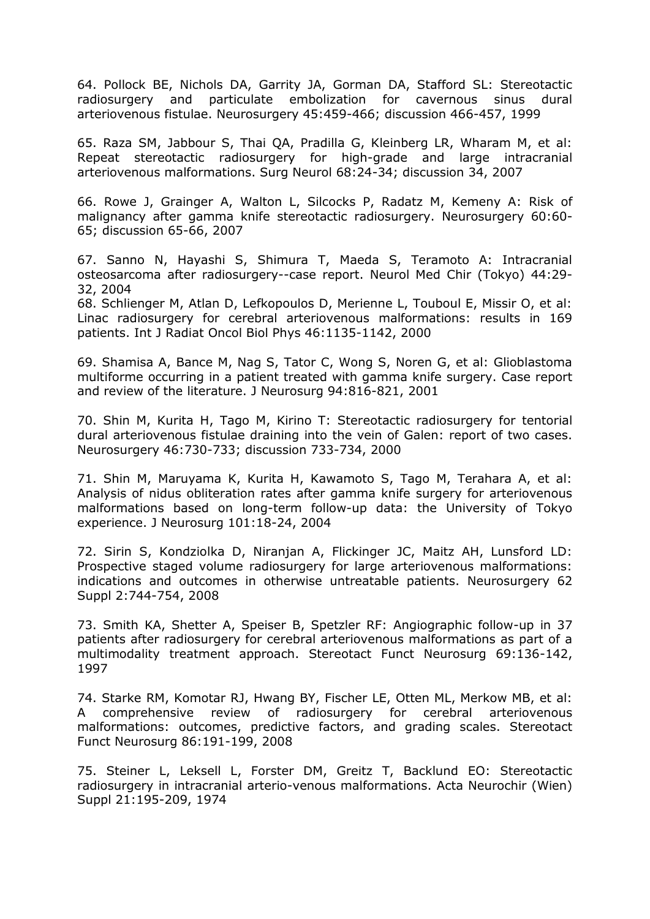64. Pollock BE, Nichols DA, Garrity JA, Gorman DA, Stafford SL: Stereotactic radiosurgery and particulate embolization for cavernous sinus dural arteriovenous fistulae. Neurosurgery 45:459-466; discussion 466-457, 1999

65. Raza SM, Jabbour S, Thai QA, Pradilla G, Kleinberg LR, Wharam M, et al: Repeat stereotactic radiosurgery for high-grade and large intracranial arteriovenous malformations. Surg Neurol 68:24-34; discussion 34, 2007

66. Rowe J, Grainger A, Walton L, Silcocks P, Radatz M, Kemeny A: Risk of malignancy after gamma knife stereotactic radiosurgery. Neurosurgery 60:60- 65; discussion 65-66, 2007

67. Sanno N, Hayashi S, Shimura T, Maeda S, Teramoto A: Intracranial osteosarcoma after radiosurgery--case report. Neurol Med Chir (Tokyo) 44:29- 32, 2004

68. Schlienger M, Atlan D, Lefkopoulos D, Merienne L, Touboul E, Missir O, et al: Linac radiosurgery for cerebral arteriovenous malformations: results in 169 patients. Int J Radiat Oncol Biol Phys 46:1135-1142, 2000

69. Shamisa A, Bance M, Nag S, Tator C, Wong S, Noren G, et al: Glioblastoma multiforme occurring in a patient treated with gamma knife surgery. Case report and review of the literature. J Neurosurg 94:816-821, 2001

70. Shin M, Kurita H, Tago M, Kirino T: Stereotactic radiosurgery for tentorial dural arteriovenous fistulae draining into the vein of Galen: report of two cases. Neurosurgery 46:730-733; discussion 733-734, 2000

71. Shin M, Maruyama K, Kurita H, Kawamoto S, Tago M, Terahara A, et al: Analysis of nidus obliteration rates after gamma knife surgery for arteriovenous malformations based on long-term follow-up data: the University of Tokyo experience. J Neurosurg 101:18-24, 2004

72. Sirin S, Kondziolka D, Niranjan A, Flickinger JC, Maitz AH, Lunsford LD: Prospective staged volume radiosurgery for large arteriovenous malformations: indications and outcomes in otherwise untreatable patients. Neurosurgery 62 Suppl 2:744-754, 2008

73. Smith KA, Shetter A, Speiser B, Spetzler RF: Angiographic follow-up in 37 patients after radiosurgery for cerebral arteriovenous malformations as part of a multimodality treatment approach. Stereotact Funct Neurosurg 69:136-142, 1997

74. Starke RM, Komotar RJ, Hwang BY, Fischer LE, Otten ML, Merkow MB, et al: A comprehensive review of radiosurgery for cerebral arteriovenous malformations: outcomes, predictive factors, and grading scales. Stereotact Funct Neurosurg 86:191-199, 2008

75. Steiner L, Leksell L, Forster DM, Greitz T, Backlund EO: Stereotactic radiosurgery in intracranial arterio-venous malformations. Acta Neurochir (Wien) Suppl 21:195-209, 1974